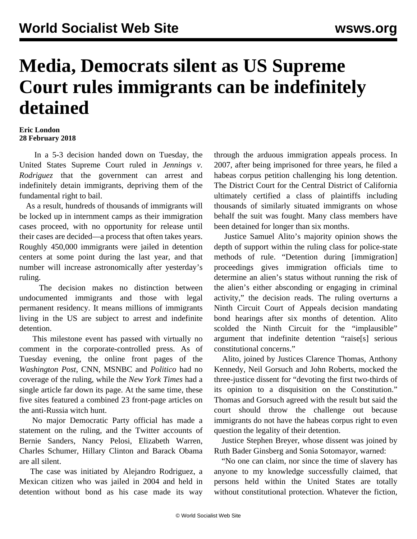## **Media, Democrats silent as US Supreme Court rules immigrants can be indefinitely detained**

## **Eric London 28 February 2018**

 In a 5-3 decision handed down on Tuesday, the United States Supreme Court ruled in *Jennings v. Rodriguez* that the government can arrest and indefinitely detain immigrants, depriving them of the fundamental right to bail.

 As a result, hundreds of thousands of immigrants will be locked up in internment camps as their immigration cases proceed, with no opportunity for release until their cases are decided—a process that often takes years. Roughly 450,000 immigrants were jailed in detention centers at some point during the last year, and that number will increase astronomically after yesterday's ruling.

 The decision makes no distinction between undocumented immigrants and those with legal permanent residency. It means millions of immigrants living in the US are subject to arrest and indefinite detention.

 This milestone event has passed with virtually no comment in the corporate-controlled press. As of Tuesday evening, the online front pages of the *Washington Post*, CNN, MSNBC and *Politico* had no coverage of the ruling, while the *New York Times* had a single article far down its page. At the same time, these five sites featured a combined 23 front-page articles on the anti-Russia witch hunt.

 No major Democratic Party official has made a statement on the ruling, and the Twitter accounts of Bernie Sanders, Nancy Pelosi, Elizabeth Warren, Charles Schumer, Hillary Clinton and Barack Obama are all silent.

 The case was initiated by Alejandro Rodriguez, a Mexican citizen who was jailed in 2004 and held in detention without bond as his case made its way through the arduous immigration appeals process. In 2007, after being imprisoned for three years, he filed a habeas corpus petition challenging his long detention. The District Court for the Central District of California ultimately certified a class of plaintiffs including thousands of similarly situated immigrants on whose behalf the suit was fought. Many class members have been detained for longer than six months.

 Justice Samuel Alito's majority opinion shows the depth of support within the ruling class for police-state methods of rule. "Detention during [immigration] proceedings gives immigration officials time to determine an alien's status without running the risk of the alien's either absconding or engaging in criminal activity," the decision reads. The ruling overturns a Ninth Circuit Court of Appeals decision mandating bond hearings after six months of detention. Alito scolded the Ninth Circuit for the "implausible" argument that indefinite detention "raise[s] serious constitutional concerns."

 Alito, joined by Justices Clarence Thomas, Anthony Kennedy, Neil Gorsuch and John Roberts, mocked the three-justice dissent for "devoting the first two-thirds of its opinion to a disquisition on the Constitution." Thomas and Gorsuch agreed with the result but said the court should throw the challenge out because immigrants do not have the habeas corpus right to even question the legality of their detention.

 Justice Stephen Breyer, whose dissent was joined by Ruth Bader Ginsberg and Sonia Sotomayor, warned:

 "No one can claim, nor since the time of slavery has anyone to my knowledge successfully claimed, that persons held within the United States are totally without constitutional protection. Whatever the fiction,